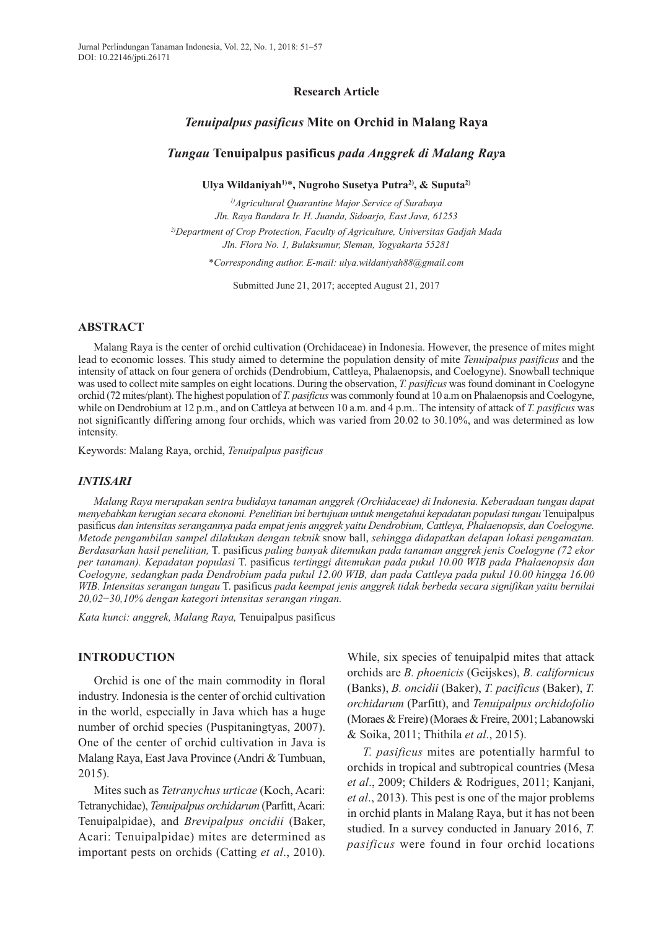### **Research Article**

# *Tenuipalpus pasificus* **Mite on Orchid in Malang Raya**

#### *Tungau* **Tenuipalpus pasificus** *pada Anggrek di Malang Ray***a**

**Ulya Wildaniyah1)**\***, Nugroho Susetya Putra2), & Suputa2)**

*1)Agricultural Quarantine Major Service of Surabaya Jln. Raya Bandara Ir. H. Juanda, Sidoarjo, East Java, 61253 2)Department of Crop Protection, Faculty of Agriculture, Universitas Gadjah Mada Jln. Flora No. 1, Bulaksumur, Sleman, Yogyakarta 55281*

*\*Corresponding author. E-mail: ulya.wildaniyah88@gmail.com*

Submitted June 21, 2017; accepted August 21, 2017

# **ABSTRACT**

Malang Raya is the center of orchid cultivation (Orchidaceae) in Indonesia. However, the presence of mites might lead to economic losses. This study aimed to determine the population density of mite *Tenuipalpus pasificus* and the intensity of attack on four genera of orchids (Dendrobium, Cattleya, Phalaenopsis, and Coelogyne). Snowball technique was used to collect mite samples on eight locations. During the observation, *T. pasificus* was found dominant in Coelogyne orchid (72 mites/plant). The highest population of *T. pasificus* was commonly found at 10 a.m on Phalaenopsis and Coelogyne, while on Dendrobium at 12 p.m., and on Cattleya at between 10 a.m. and 4 p.m.. The intensity of attack of *T. pasificus* was not significantly differing among four orchids, which was varied from 20.02 to 30.10%, and was determined as low intensity.

Keywords: Malang Raya, orchid, *Tenuipalpus pasificus*

#### *INTISARI*

*Malang Raya merupakan sentra budidaya tanaman anggrek (Orchidaceae) di Indonesia. Keberadaan tungau dapat menyebabkan kerugian secara ekonomi. Penelitian ini bertujuan untuk mengetahui kepadatan populasi tungau* Tenuipalpus pasificus *dan intensitas serangannya pada empat jenis anggrek yaitu Dendrobium, Cattleya, Phalaenopsis, dan Coelogyne. Metode pengambilan sampel dilakukan dengan teknik* snow ball, *sehingga didapatkan delapan lokasi pengamatan. Berdasarkan hasil penelitian,* T. pasificus *paling banyak ditemukan pada tanaman anggrek jenis Coelogyne (72 ekor per tanaman). Kepadatan populasi* T. pasificus *tertinggi ditemukan pada pukul 10.00 WIB pada Phalaenopsis dan Coelogyne, sedangkan pada Dendrobium pada pukul 12.00 WIB, dan pada Cattleya pada pukul 10.00 hingga 16.00 WIB. Intensitas serangan tungau* T. pasificus *pada keempat jenis anggrek tidak berbeda secara signifikan yaitu bernilai 20,02*−*30,10% dengan kategori intensitas serangan ringan.* 

*Kata kunci: anggrek, Malang Raya,* Tenuipalpus pasificus

# **INTRODUCTION**

Orchid is one of the main commodity in floral industry. Indonesia is the center of orchid cultivation in the world, especially in Java which has a huge number of orchid species (Puspitaningtyas, 2007). One of the center of orchid cultivation in Java is Malang Raya, East Java Province (Andri & Tumbuan, 2015).

Mites such as *Tetranychus urticae* (Koch, Acari: Tetranychidae), *Tenuipalpus orchidarum* (Parfitt, Acari: Tenuipalpidae), and *Brevipalpus oncidii* (Baker, Acari: Tenuipalpidae) mites are determined as important pests on orchids (Catting *et al*., 2010).

While, six species of tenuipalpid mites that attack orchids are *B. phoenicis* (Geijskes), *B. californicus* (Banks), *B. oncidii* (Baker), *T. pacificus* (Baker), *T. orchidarum* (Parfitt), and *Tenuipalpus orchidofolio* (Moraes & Freire) (Moraes & Freire, 2001; Labanowski & Soika, 2011; Thithila *et al*., 2015).

*T. pasificus* mites are potentially harmful to orchids in tropical and subtropical countries (Mesa *et al*., 2009; Childers & Rodrigues, 2011; Kanjani, *et al*., 2013). This pest is one of the major problems in orchid plants in Malang Raya, but it has not been studied. In a survey conducted in January 2016, *T. pasificus* were found in four orchid locations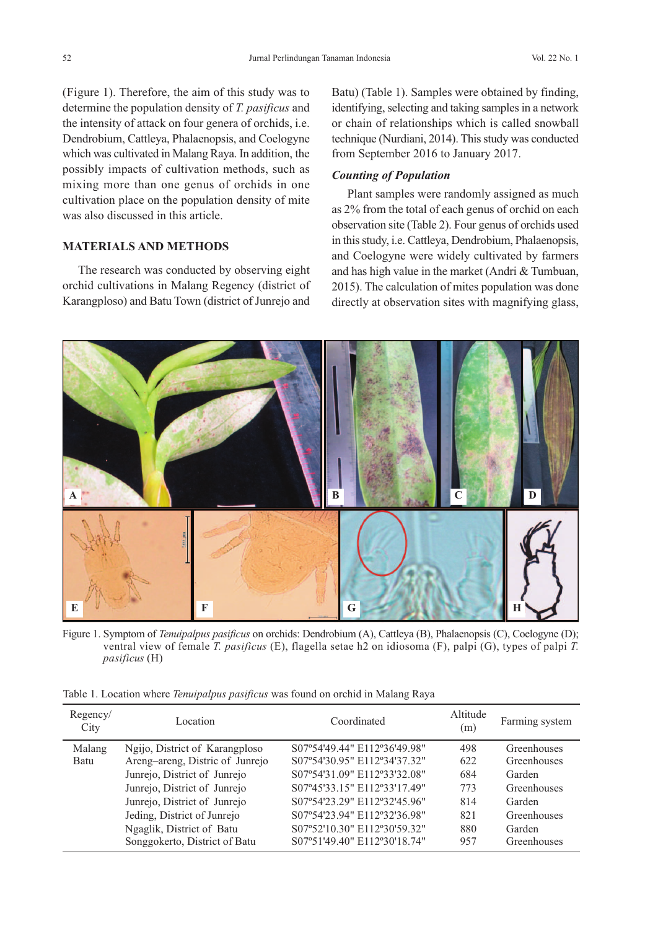(Figure 1). Therefore, the aim of this study was to determine the population density of *T. pasificus* and the intensity of attack on four genera of orchids, i.e. Dendrobium, Cattleya, Phalaenopsis, and Coelogyne which was cultivated in Malang Raya. In addition, the possibly impacts of cultivation methods, such as mixing more than one genus of orchids in one cultivation place on the population density of mite was also discussed in this article.

# **MATERIALS AND METHODS**

The research was conducted by observing eight orchid cultivations in Malang Regency (district of Karangploso) and Batu Town (district of Junrejo and Batu) (Table 1). Samples were obtained by finding, identifying, selecting and taking samples in a network or chain of relationships which is called snowball technique (Nurdiani, 2014). This study was conducted from September 2016 to January 2017.

### *Counting of Population*

Plant samples were randomly assigned as much as 2% from the total of each genus of orchid on each observation site (Table 2). Four genus of orchids used in this study, i.e. Cattleya, Dendrobium, Phalaenopsis, and Coelogyne were widely cultivated by farmers and has high value in the market (Andri & Tumbuan, 2015). The calculation of mites population was done directly at observation sites with magnifying glass,



Figure 1. Symptom of *Tenuipalpus pasificus* on orchids: Dendrobium (A), Cattleya (B), Phalaenopsis (C), Coelogyne (D); ventral view of female *T. pasificus* (E), flagella setae h2 on idiosoma (F), palpi (G), types of palpi *T. pasificus* (H)

Table 1. Location where *Tenuipalpus pasificus* was found on orchid in Malang Raya

| Regency/<br>City | Location                        | Coordinated                  | Altitude<br>(m) | Farming system |
|------------------|---------------------------------|------------------------------|-----------------|----------------|
| Malang           | Ngijo, District of Karangploso  | S07°54'49.44" E112°36'49.98" | 498             | Greenhouses    |
| Batu             | Areng-areng, Distric of Junrejo | S07°54'30.95" E112°34'37.32" | 622             | Greenhouses    |
|                  | Junrejo, District of Junrejo    | S07°54'31.09" E112°33'32.08" | 684             | Garden         |
|                  | Junrejo, District of Junrejo    | S07°45'33.15" E112°33'17.49" | 773             | Greenhouses    |
|                  | Junrejo, District of Junrejo    | S07°54'23.29" E112°32'45.96" | 814             | Garden         |
|                  | Jeding, District of Junrejo     | S07°54'23.94" E112°32'36.98" | 821             | Greenhouses    |
|                  | Ngaglik, District of Batu       | S07°52'10.30" E112°30'59.32" | 880             | Garden         |
|                  | Songgokerto, District of Batu   | S07°51'49.40" E112°30'18.74" | 957             | Greenhouses    |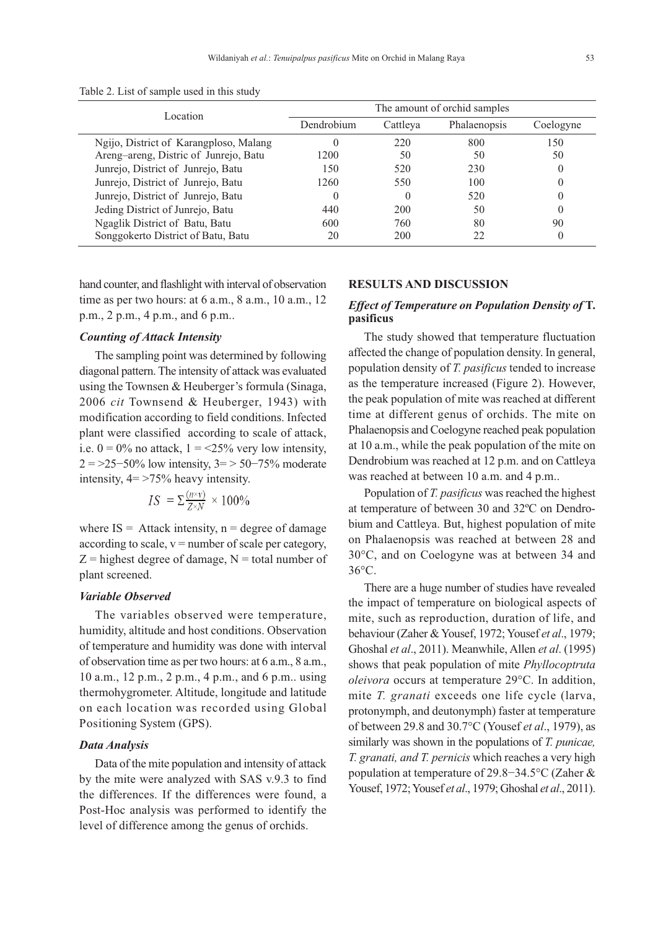| Table 2. List of sample used in this study |  |  |  |  |
|--------------------------------------------|--|--|--|--|
|                                            |  |  |  |  |

| Location                               | The amount of orchid samples |          |              |           |
|----------------------------------------|------------------------------|----------|--------------|-----------|
|                                        | Dendrobium                   | Cattleya | Phalaenopsis | Coelogyne |
| Ngijo, District of Karangploso, Malang |                              | 220      | 800          | 150       |
| Areng-areng, Distric of Junrejo, Batu  | 1200                         | 50       | 50           | 50        |
| Junrejo, District of Junrejo, Batu     | 150                          | 520      | 230          | $\theta$  |
| Junrejo, District of Junrejo, Batu     | 1260                         | 550      | 100          |           |
| Junrejo, District of Junrejo, Batu     |                              |          | 520          | $\theta$  |
| Jeding District of Junrejo, Batu       | 440                          | 200      | 50           |           |
| Ngaglik District of Batu, Batu         | 600                          | 760      | 80           | 90        |
| Songgokerto District of Batu, Batu     | 20                           | 200      |              |           |

hand counter, and flashlight with interval of observation time as per two hours: at 6 a.m., 8 a.m., 10 a.m., 12 p.m., 2 p.m., 4 p.m., and 6 p.m..

# *Counting of Attack Intensity*

The sampling point was determined by following diagonal pattern. The intensity of attack was evaluated using the Townsen & Heuberger's formula (Sinaga, 2006 *cit* Townsend & Heuberger, 1943) with modification according to field conditions. Infected plant were classified according to scale of attack, i.e.  $0 = 0\%$  no attack,  $1 = 25\%$  very low intensity,  $2 = 25 - 50\%$  low intensity,  $3 = 50 - 75\%$  moderate intensity,  $4 = 275\%$  heavy intensity.

$$
IS = \sum \frac{(n \times v)}{Z \times N} \times 100\%
$$

where  $IS =$  Attack intensity,  $n =$  degree of damage according to scale,  $v =$  number of scale per category,  $Z =$  highest degree of damage,  $N =$  total number of plant screened.

### *Variable Observed*

The variables observed were temperature, humidity, altitude and host conditions. Observation of temperature and humidity was done with interval of observation time as per two hours: at 6 a.m., 8 a.m., 10 a.m., 12 p.m., 2 p.m., 4 p.m., and 6 p.m.. using thermohygrometer. Altitude, longitude and latitude on each location was recorded using Global Positioning System (GPS).

#### *Data Analysis*

Data of the mite population and intensity of attack by the mite were analyzed with SAS v.9.3 to find the differences. If the differences were found, a Post-Hoc analysis was performed to identify the level of difference among the genus of orchids.

#### **RESULTS AND DISCUSSION**

# *Effect of Temperature on Population Density of* **T. pasificus**

The study showed that temperature fluctuation affected the change of population density. In general, population density of *T. pasificus* tended to increase as the temperature increased (Figure 2). However, the peak population of mite was reached at different time at different genus of orchids. The mite on Phalaenopsis and Coelogyne reached peak population at 10 a.m., while the peak population of the mite on Dendrobium was reached at 12 p.m. and on Cattleya was reached at between 10 a.m. and 4 p.m..

Population of *T. pasificus* was reached the highest at temperature of between 30 and 32ºC on Dendrobium and Cattleya. But, highest population of mite on Phalaenopsis was reached at between 28 and 30°C, and on Coelogyne was at between 34 and 36°C.

There are a huge number of studies have revealed the impact of temperature on biological aspects of mite, such as reproduction, duration of life, and behaviour (Zaher & Yousef, 1972; Yousef *et al*., 1979; Ghoshal *et al*., 2011). Meanwhile, Allen *et al*. (1995) shows that peak population of mite *Phyllocoptruta oleivora* occurs at temperature 29°C. In addition, mite *T. granati* exceeds one life cycle (larva, protonymph, and deutonymph) faster at temperature of between 29.8 and 30.7°C (Yousef *et al*., 1979), as similarly was shown in the populations of *T. punicae, T. granati, and T. pernicis* which reaches a very high population at temperature of 29.8−34.5°C (Zaher & Yousef, 1972; Yousef *et al*., 1979; Ghoshal *et al*., 2011).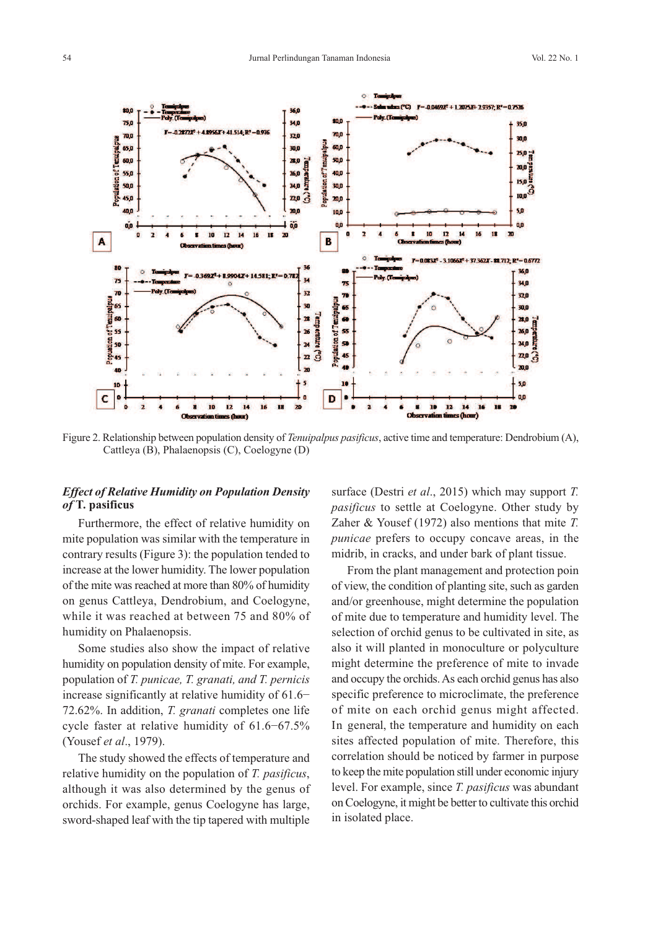

Figure 2. Relationship between population density of *Tenuipalpus pasificus*, active time and temperature: Dendrobium (A), Cattleya (B), Phalaenopsis (C), Coelogyne (D)

# *Effect of Relative Humidity on Population Density of* **T. pasificus**

Furthermore, the effect of relative humidity on mite population was similar with the temperature in contrary results (Figure 3): the population tended to increase at the lower humidity. The lower population of the mite was reached at more than 80% of humidity on genus Cattleya, Dendrobium, and Coelogyne, while it was reached at between 75 and 80% of humidity on Phalaenopsis.

Some studies also show the impact of relative humidity on population density of mite. For example, population of *T. punicae, T. granati, and T. pernicis* increase significantly at relative humidity of 61.6− 72.62%. In addition, *T. granati* completes one life cycle faster at relative humidity of 61.6−67.5% (Yousef *et al*., 1979).

The study showed the effects of temperature and relative humidity on the population of *T. pasificus*, although it was also determined by the genus of orchids. For example, genus Coelogyne has large, sword-shaped leaf with the tip tapered with multiple surface (Destri *et al*., 2015) which may support *T. pasificus* to settle at Coelogyne. Other study by Zaher & Yousef (1972) also mentions that mite *T. punicae* prefers to occupy concave areas, in the midrib, in cracks, and under bark of plant tissue.

From the plant management and protection poin of view, the condition of planting site, such as garden and/or greenhouse, might determine the population of mite due to temperature and humidity level. The selection of orchid genus to be cultivated in site, as also it will planted in monoculture or polyculture might determine the preference of mite to invade and occupy the orchids. As each orchid genus has also specific preference to microclimate, the preference of mite on each orchid genus might affected. In general, the temperature and humidity on each sites affected population of mite. Therefore, this correlation should be noticed by farmer in purpose to keep the mite population still under economic injury level. For example, since *T. pasificus* was abundant on Coelogyne, it might be better to cultivate this orchid in isolated place.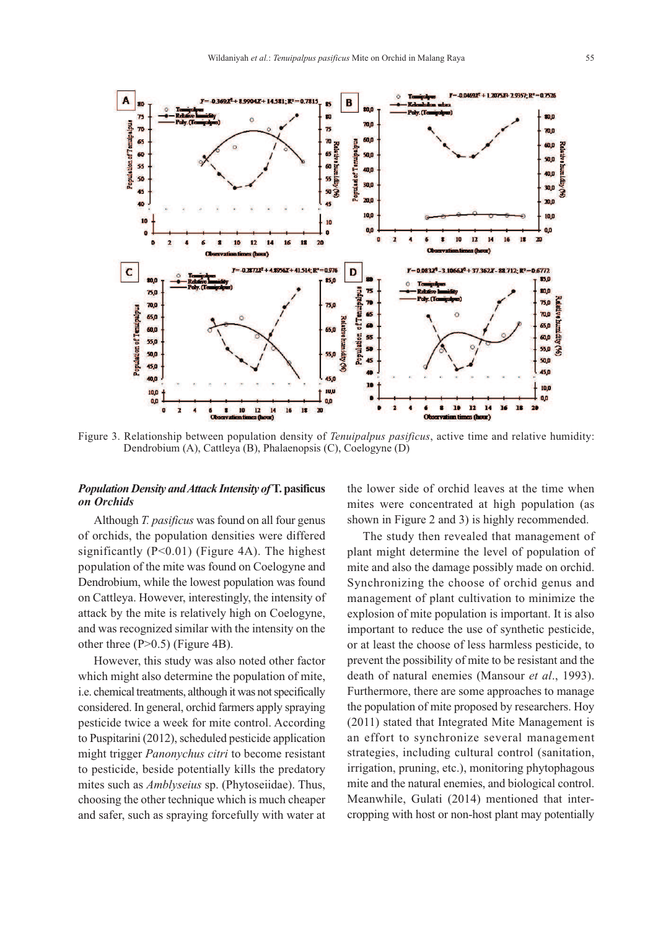

Figure 3. Relationship between population density of *Tenuipalpus pasificus*, active time and relative humidity: Dendrobium (A), Cattleya (B), Phalaenopsis (C), Coelogyne (D)

# *Population Density and Attack Intensity of* **T. pasificus** *on Orchids*

Although *T. pasificus* was found on all four genus of orchids, the population densities were differed significantly  $(P<0.01)$  (Figure 4A). The highest population of the mite was found on Coelogyne and Dendrobium, while the lowest population was found on Cattleya. However, interestingly, the intensity of attack by the mite is relatively high on Coelogyne, and was recognized similar with the intensity on the other three (P>0.5) (Figure 4B).

However, this study was also noted other factor which might also determine the population of mite, i.e. chemical treatments, although it was not specifically considered. In general, orchid farmers apply spraying pesticide twice a week for mite control. According to Puspitarini (2012), scheduled pesticide application might trigger *Panonychus citri* to become resistant to pesticide, beside potentially kills the predatory mites such as *Amblyseius* sp. (Phytoseiidae). Thus, choosing the other technique which is much cheaper and safer, such as spraying forcefully with water at

the lower side of orchid leaves at the time when mites were concentrated at high population (as shown in Figure 2 and 3) is highly recommended.

The study then revealed that management of plant might determine the level of population of mite and also the damage possibly made on orchid. Synchronizing the choose of orchid genus and management of plant cultivation to minimize the explosion of mite population is important. It is also important to reduce the use of synthetic pesticide, or at least the choose of less harmless pesticide, to prevent the possibility of mite to be resistant and the death of natural enemies (Mansour *et al*., 1993). Furthermore, there are some approaches to manage the population of mite proposed by researchers. Hoy (2011) stated that Integrated Mite Management is an effort to synchronize several management strategies, including cultural control (sanitation, irrigation, pruning, etc.), monitoring phytophagous mite and the natural enemies, and biological control. Meanwhile, Gulati (2014) mentioned that intercropping with host or non-host plant may potentially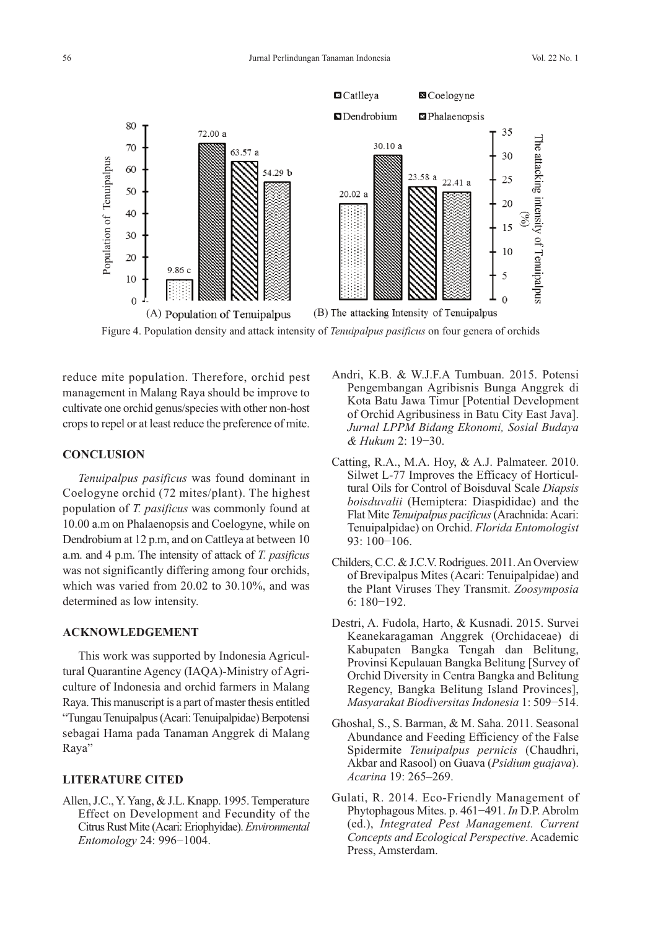

Figure 4. Population density and attack intensity of *Tenuipalpus pasificus* on four genera of orchids

reduce mite population. Therefore, orchid pest management in Malang Raya should be improve to cultivate one orchid genus/species with other non-host crops to repel or at least reduce the preference of mite.

# **CONCLUSION**

*Tenuipalpus pasificus* was found dominant in Coelogyne orchid (72 mites/plant). The highest population of *T. pasificus* was commonly found at 10.00 a.m on Phalaenopsis and Coelogyne, while on Dendrobium at 12 p.m, and on Cattleya at between 10 a.m. and 4 p.m. The intensity of attack of *T. pasificus* was not significantly differing among four orchids, which was varied from 20.02 to 30.10%, and was determined as low intensity.

#### **ACKNOWLEDGEMENT**

This work was supported by Indonesia Agricultural Quarantine Agency (IAQA)-Ministry of Agriculture of Indonesia and orchid farmers in Malang Raya. This manuscript is a part of master thesis entitled "Tungau Tenuipalpus (Acari: Tenuipalpidae) Berpotensi sebagai Hama pada Tanaman Anggrek di Malang Raya"

### **LITERATURE CITED**

Allen, J.C., Y. Yang, & J.L. Knapp. 1995. Temperature Effect on Development and Fecundity of the Citrus Rust Mite (Acari: Eriophyidae). *Environmental Entomology* 24: 996−1004.

- Andri, K.B. & W.J.F.A Tumbuan. 2015. Potensi Pengembangan Agribisnis Bunga Anggrek di Kota Batu Jawa Timur [Potential Development of Orchid Agribusiness in Batu City East Java]. *Jurnal LPPM Bidang Ekonomi, Sosial Budaya & Hukum* 2: 19−30.
- Catting, R.A., M.A. Hoy, & A.J. Palmateer. 2010. Silwet L-77 Improves the Efficacy of Horticultural Oils for Control of Boisduval Scale *Diapsis boisduvalii* (Hemiptera: Diaspididae) and the Flat Mite *Tenuipalpus pacificus* (Arachnida: Acari: Tenuipalpidae) on Orchid. *Florida Entomologist* 93: 100−106.
- Childers, C.C. & J.C.V. Rodrigues. 2011. An Overview of Brevipalpus Mites (Acari: Tenuipalpidae) and the Plant Viruses They Transmit. *Zoosymposia* 6: 180−192.
- Destri, A. Fudola, Harto, & Kusnadi. 2015. Survei Keanekaragaman Anggrek (Orchidaceae) di Kabupaten Bangka Tengah dan Belitung, Provinsi Kepulauan Bangka Belitung [Survey of Orchid Diversity in Centra Bangka and Belitung Regency, Bangka Belitung Island Provinces], *Masyarakat Biodiversitas Indonesia* 1: 509−514.
- Ghoshal, S., S. Barman, & M. Saha. 2011. Seasonal Abundance and Feeding Efficiency of the False Spidermite *Tenuipalpus pernicis* (Chaudhri, Akbar and Rasool) on Guava (*Psidium guajava*). *Acarina* 19: 265–269.
- Gulati, R. 2014. Eco-Friendly Management of Phytophagous Mites. p. 461−491. *In* D.P. Abrolm (ed.), *Integrated Pest Management. Current Concepts and Ecological Perspective*. Academic Press, Amsterdam.